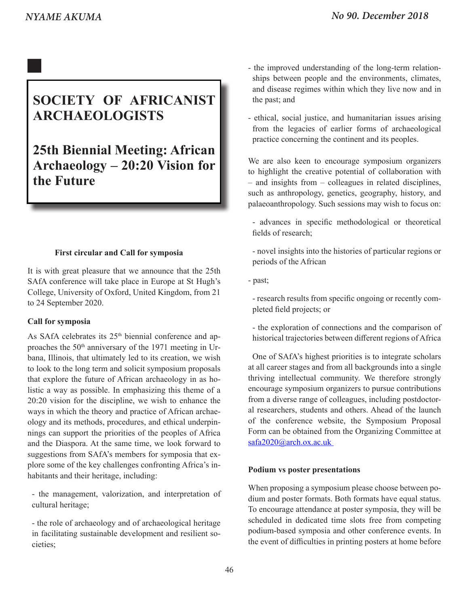# **SOCIETY OF AFRICANIST ARCHAEOLOGISTS**

# **25th Biennial Meeting: African Archaeology – 20:20 Vision for the Future**

# **First circular and Call for symposia**

It is with great pleasure that we announce that the 25th SAfA conference will take place in Europe at St Hugh's College, University of Oxford, United Kingdom, from 21 to 24 September 2020.

# **Call for symposia**

As SAfA celebrates its  $25<sup>th</sup>$  biennial conference and approaches the 50<sup>th</sup> anniversary of the 1971 meeting in Urbana, Illinois, that ultimately led to its creation, we wish to look to the long term and solicit symposium proposals that explore the future of African archaeology in as holistic a way as possible. In emphasizing this theme of a 20:20 vision for the discipline, we wish to enhance the ways in which the theory and practice of African archaeology and its methods, procedures, and ethical underpinnings can support the priorities of the peoples of Africa and the Diaspora. At the same time, we look forward to suggestions from SAfA's members for symposia that explore some of the key challenges confronting Africa's inhabitants and their heritage, including:

- the management, valorization, and interpretation of cultural heritage;

- the role of archaeology and of archaeological heritage in facilitating sustainable development and resilient societies;

- the improved understanding of the long-term relationships between people and the environments, climates, and disease regimes within which they live now and in the past; and
- ethical, social justice, and humanitarian issues arising from the legacies of earlier forms of archaeological practice concerning the continent and its peoples.

We are also keen to encourage symposium organizers to highlight the creative potential of collaboration with – and insights from – colleagues in related disciplines, such as anthropology, genetics, geography, history, and palaeoanthropology. Such sessions may wish to focus on:

- advances in specific methodological or theoretical fields of research;
- novel insights into the histories of particular regions or periods of the African
- past;

 - research results from specific ongoing or recently completed field projects; or

- the exploration of connections and the comparison of historical trajectories between different regions of Africa

One of SAfA's highest priorities is to integrate scholars at all career stages and from all backgrounds into a single thriving intellectual community. We therefore strongly encourage symposium organizers to pursue contributions from a diverse range of colleagues, including postdoctoral researchers, students and others. Ahead of the launch of the conference website, the Symposium Proposal Form can be obtained from the Organizing Committee at safa2020@arch.ox.ac.uk

# **Podium vs poster presentations**

When proposing a symposium please choose between podium and poster formats. Both formats have equal status. To encourage attendance at poster symposia, they will be scheduled in dedicated time slots free from competing podium-based symposia and other conference events. In the event of difficulties in printing posters at home before